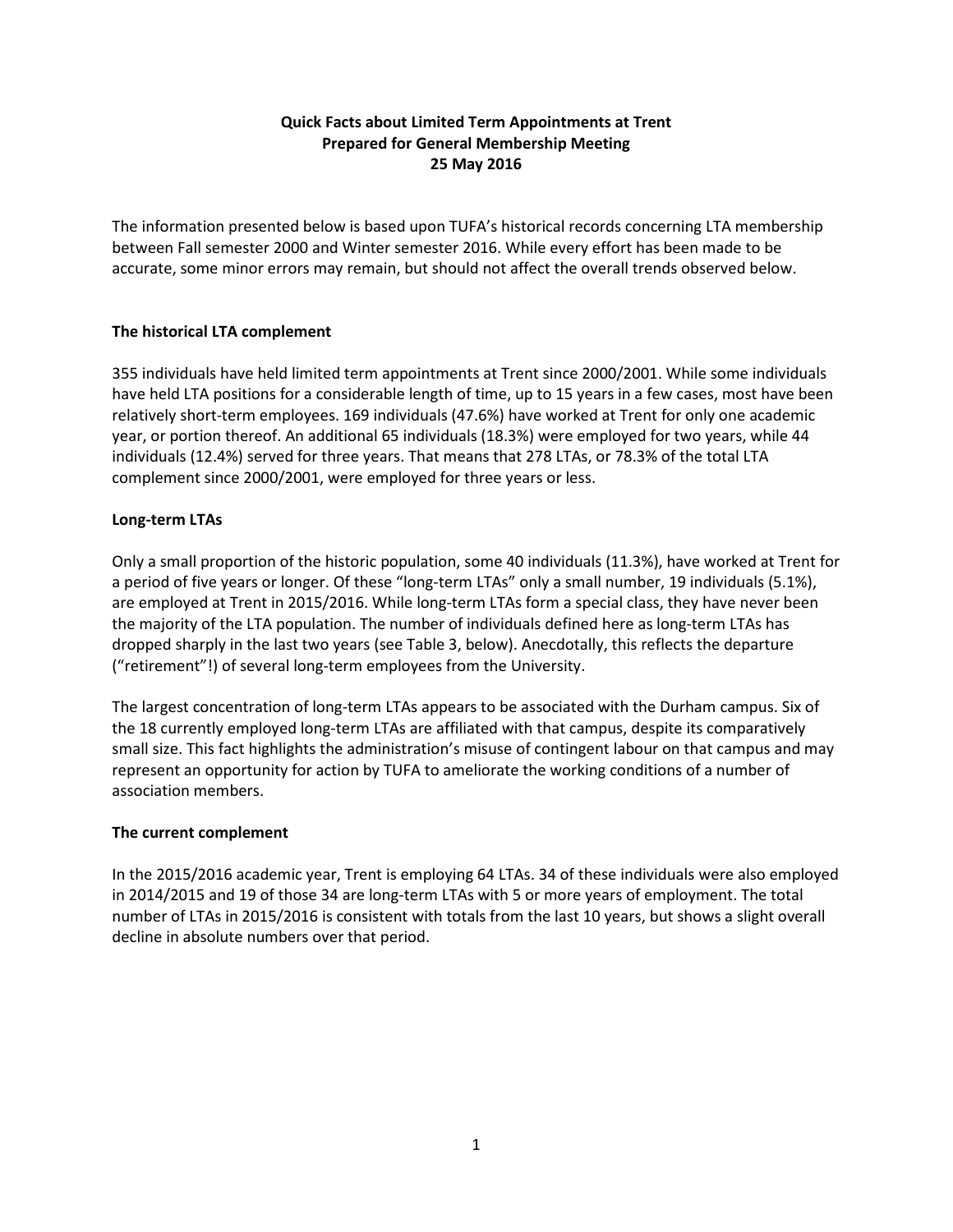# **Quick Facts about Limited Term Appointments at Trent Prepared for General Membership Meeting 25 May 2016**

The information presented below is based upon TUFA's historical records concerning LTA membership between Fall semester 2000 and Winter semester 2016. While every effort has been made to be accurate, some minor errors may remain, but should not affect the overall trends observed below.

# **The historical LTA complement**

355 individuals have held limited term appointments at Trent since 2000/2001. While some individuals have held LTA positions for a considerable length of time, up to 15 years in a few cases, most have been relatively short-term employees. 169 individuals (47.6%) have worked at Trent for only one academic year, or portion thereof. An additional 65 individuals (18.3%) were employed for two years, while 44 individuals (12.4%) served for three years. That means that 278 LTAs, or 78.3% of the total LTA complement since 2000/2001, were employed for three years or less.

# **Long-term LTAs**

Only a small proportion of the historic population, some 40 individuals (11.3%), have worked at Trent for a period of five years or longer. Of these "long-term LTAs" only a small number, 19 individuals (5.1%), are employed at Trent in 2015/2016. While long-term LTAs form a special class, they have never been the majority of the LTA population. The number of individuals defined here as long-term LTAs has dropped sharply in the last two years (see Table 3, below). Anecdotally, this reflects the departure ("retirement"!) of several long-term employees from the University.

The largest concentration of long-term LTAs appears to be associated with the Durham campus. Six of the 18 currently employed long-term LTAs are affiliated with that campus, despite its comparatively small size. This fact highlights the administration's misuse of contingent labour on that campus and may represent an opportunity for action by TUFA to ameliorate the working conditions of a number of association members.

## **The current complement**

In the 2015/2016 academic year, Trent is employing 64 LTAs. 34 of these individuals were also employed in 2014/2015 and 19 of those 34 are long-term LTAs with 5 or more years of employment. The total number of LTAs in 2015/2016 is consistent with totals from the last 10 years, but shows a slight overall decline in absolute numbers over that period.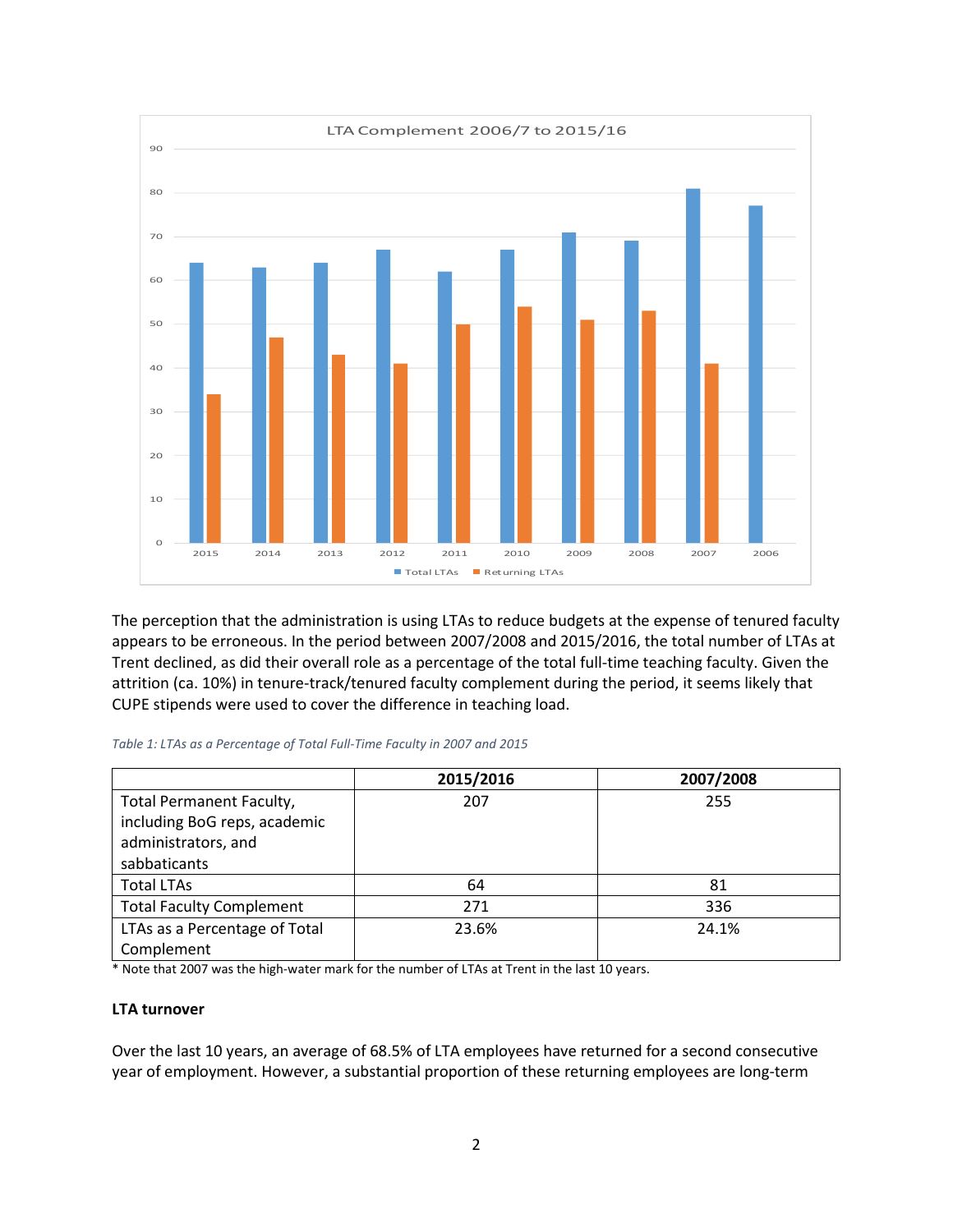

The perception that the administration is using LTAs to reduce budgets at the expense of tenured faculty appears to be erroneous. In the period between 2007/2008 and 2015/2016, the total number of LTAs at Trent declined, as did their overall role as a percentage of the total full-time teaching faculty. Given the attrition (ca. 10%) in tenure-track/tenured faculty complement during the period, it seems likely that CUPE stipends were used to cover the difference in teaching load.

#### *Table 1: LTAs as a Percentage of Total Full-Time Faculty in 2007 and 2015*

|                                 | 2015/2016 | 2007/2008 |
|---------------------------------|-----------|-----------|
| <b>Total Permanent Faculty,</b> | 207       | 255       |
| including BoG reps, academic    |           |           |
| administrators, and             |           |           |
| sabbaticants                    |           |           |
| <b>Total LTAs</b>               | 64        | 81        |
| <b>Total Faculty Complement</b> | 271       | 336       |
| LTAs as a Percentage of Total   | 23.6%     | 24.1%     |
| Complement                      |           |           |

\* Note that 2007 was the high-water mark for the number of LTAs at Trent in the last 10 years.

### **LTA turnover**

Over the last 10 years, an average of 68.5% of LTA employees have returned for a second consecutive year of employment. However, a substantial proportion of these returning employees are long-term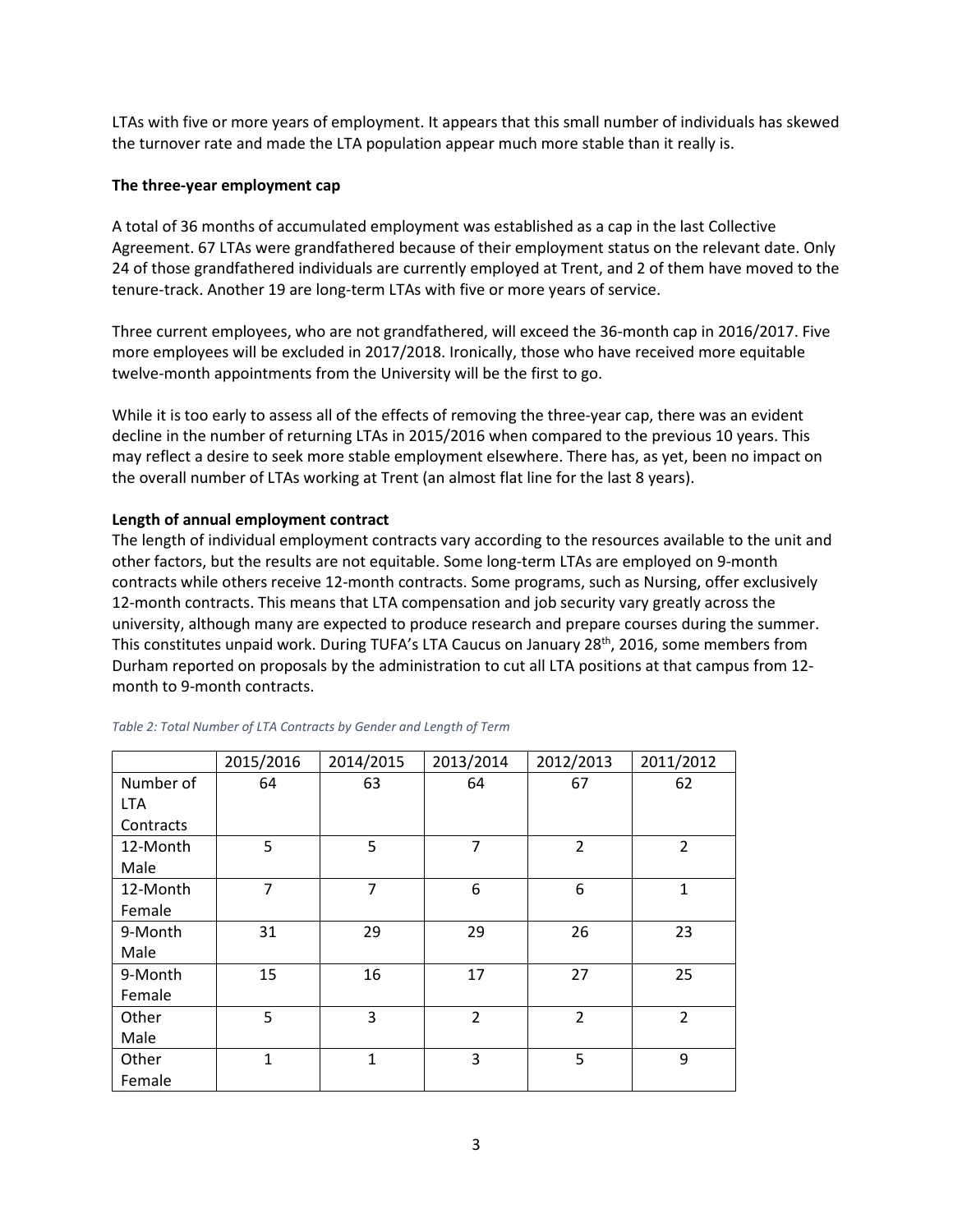LTAs with five or more years of employment. It appears that this small number of individuals has skewed the turnover rate and made the LTA population appear much more stable than it really is.

## **The three-year employment cap**

A total of 36 months of accumulated employment was established as a cap in the last Collective Agreement. 67 LTAs were grandfathered because of their employment status on the relevant date. Only 24 of those grandfathered individuals are currently employed at Trent, and 2 of them have moved to the tenure-track. Another 19 are long-term LTAs with five or more years of service.

Three current employees, who are not grandfathered, will exceed the 36-month cap in 2016/2017. Five more employees will be excluded in 2017/2018. Ironically, those who have received more equitable twelve-month appointments from the University will be the first to go.

While it is too early to assess all of the effects of removing the three-year cap, there was an evident decline in the number of returning LTAs in 2015/2016 when compared to the previous 10 years. This may reflect a desire to seek more stable employment elsewhere. There has, as yet, been no impact on the overall number of LTAs working at Trent (an almost flat line for the last 8 years).

## **Length of annual employment contract**

The length of individual employment contracts vary according to the resources available to the unit and other factors, but the results are not equitable. Some long-term LTAs are employed on 9-month contracts while others receive 12-month contracts. Some programs, such as Nursing, offer exclusively 12-month contracts. This means that LTA compensation and job security vary greatly across the university, although many are expected to produce research and prepare courses during the summer. This constitutes unpaid work. During TUFA's LTA Caucus on January 28<sup>th</sup>, 2016, some members from Durham reported on proposals by the administration to cut all LTA positions at that campus from 12 month to 9-month contracts.

|            | 2015/2016      | 2014/2015      | 2013/2014      | 2012/2013      | 2011/2012      |
|------------|----------------|----------------|----------------|----------------|----------------|
| Number of  | 64             | 63             | 64             | 67             | 62             |
| <b>LTA</b> |                |                |                |                |                |
| Contracts  |                |                |                |                |                |
| 12-Month   | 5              | 5              | $\overline{7}$ | $\overline{2}$ | $\overline{2}$ |
| Male       |                |                |                |                |                |
| 12-Month   | $\overline{7}$ | $\overline{7}$ | 6              | 6              | $\mathbf{1}$   |
| Female     |                |                |                |                |                |
| 9-Month    | 31             | 29             | 29             | 26             | 23             |
| Male       |                |                |                |                |                |
| 9-Month    | 15             | 16             | 17             | 27             | 25             |
| Female     |                |                |                |                |                |
| Other      | 5              | 3              | $\overline{2}$ | $\overline{2}$ | $\overline{2}$ |
| Male       |                |                |                |                |                |
| Other      | $\mathbf{1}$   | $\overline{1}$ | 3              | 5              | 9              |
| Female     |                |                |                |                |                |

### *Table 2: Total Number of LTA Contracts by Gender and Length of Term*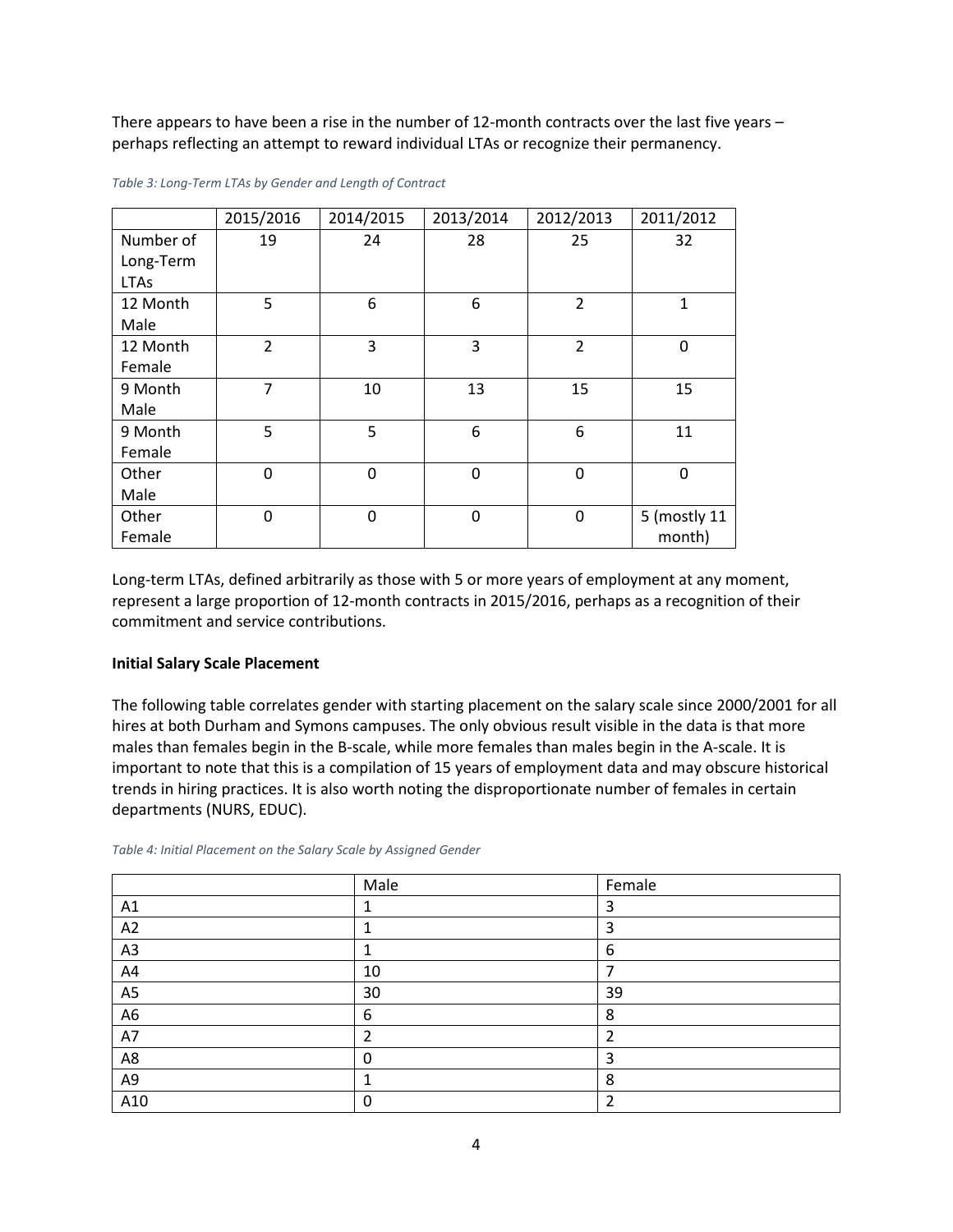There appears to have been a rise in the number of 12-month contracts over the last five years – perhaps reflecting an attempt to reward individual LTAs or recognize their permanency.

|             | 2015/2016      | 2014/2015      | 2013/2014      | 2012/2013      | 2011/2012    |
|-------------|----------------|----------------|----------------|----------------|--------------|
| Number of   | 19             | 24             | 28             | 25             | 32           |
| Long-Term   |                |                |                |                |              |
| <b>LTAs</b> |                |                |                |                |              |
| 12 Month    | 5              | 6              | 6              | $\overline{2}$ | $\mathbf{1}$ |
| Male        |                |                |                |                |              |
| 12 Month    | $\overline{2}$ | 3              | 3              | $\overline{2}$ | 0            |
| Female      |                |                |                |                |              |
| 9 Month     | $\overline{7}$ | 10             | 13             | 15             | 15           |
| Male        |                |                |                |                |              |
| 9 Month     | 5              | 5              | 6              | 6              | 11           |
| Female      |                |                |                |                |              |
| Other       | $\overline{0}$ | $\Omega$       | $\overline{0}$ | $\mathbf 0$    | $\mathbf{0}$ |
| Male        |                |                |                |                |              |
| Other       | $\overline{0}$ | $\overline{0}$ | $\mathbf 0$    | 0              | 5 (mostly 11 |
| Female      |                |                |                |                | month)       |

*Table 3: Long-Term LTAs by Gender and Length of Contract* 

Long-term LTAs, defined arbitrarily as those with 5 or more years of employment at any moment, represent a large proportion of 12-month contracts in 2015/2016, perhaps as a recognition of their commitment and service contributions.

### **Initial Salary Scale Placement**

The following table correlates gender with starting placement on the salary scale since 2000/2001 for all hires at both Durham and Symons campuses. The only obvious result visible in the data is that more males than females begin in the B-scale, while more females than males begin in the A-scale. It is important to note that this is a compilation of 15 years of employment data and may obscure historical trends in hiring practices. It is also worth noting the disproportionate number of females in certain departments (NURS, EDUC).

|                | Male | Female |
|----------------|------|--------|
| A1             |      | 3      |
| A2             |      | 3      |
| A3             | ┻    | 6      |
| A4             | 10   |        |
| A <sub>5</sub> | 30   | 39     |
| A <sub>6</sub> | 6    | 8      |
| A7             | 2    |        |
| A8             | 0    | 3      |
| A9             |      | 8      |
| A10            | 0    |        |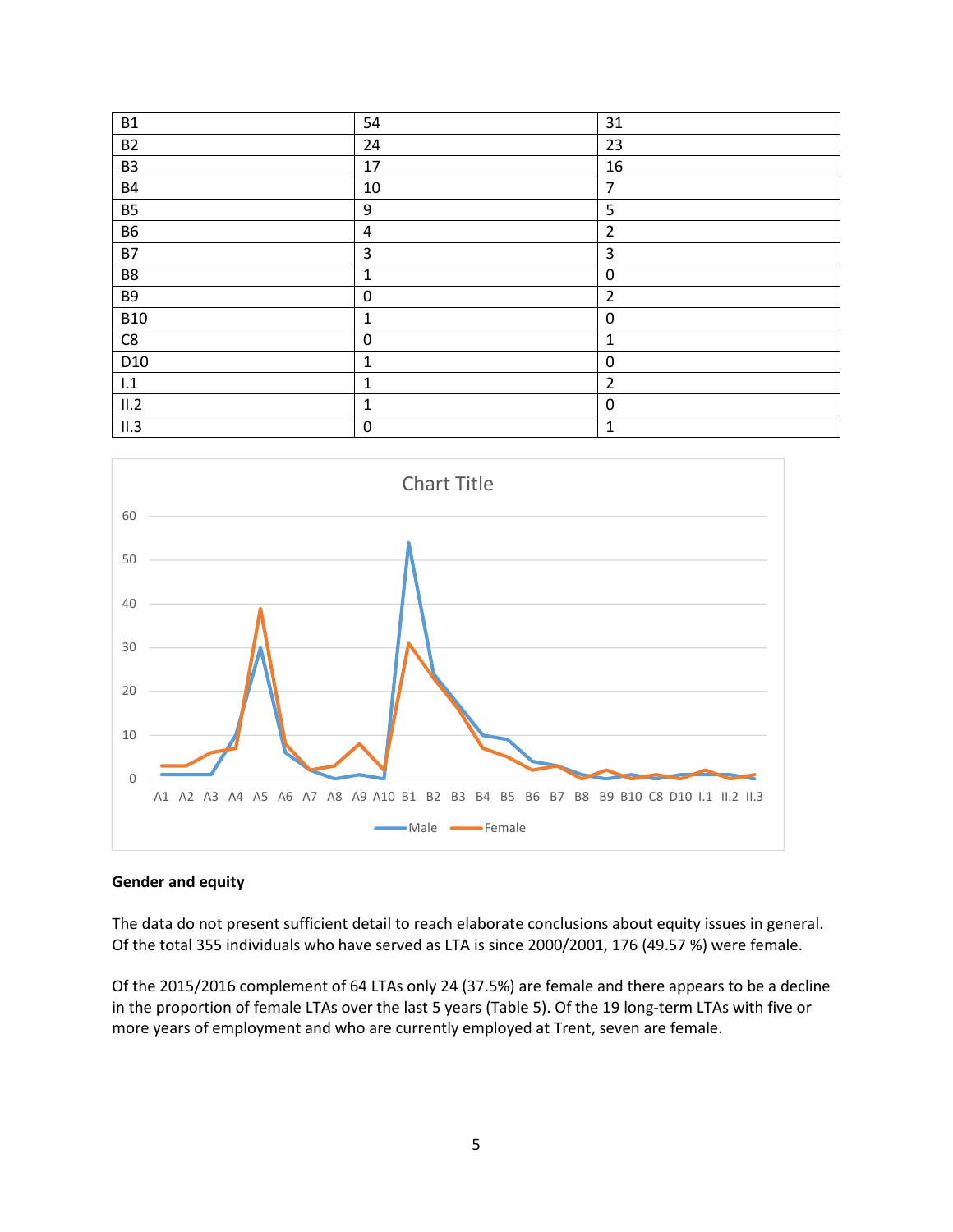| <b>B1</b>       | 54               | 31             |
|-----------------|------------------|----------------|
| <b>B2</b>       | 24               | 23             |
| B <sub>3</sub>  | 17               | 16             |
| <b>B4</b>       | 10               | $\overline{7}$ |
| <b>B5</b>       | $9\,$            | 5              |
| <b>B6</b>       | $\sqrt{4}$       | $\overline{2}$ |
| <b>B7</b>       | $\mathsf 3$      | 3              |
| B8              | $\mathbf 1$      | $\mathbf 0$    |
| <b>B9</b>       | $\pmb{0}$        | $\overline{2}$ |
| <b>B10</b>      | $\mathbf 1$      | 0              |
| C8              | $\boldsymbol{0}$ | $\mathbf{1}$   |
| D <sub>10</sub> | $\mathbf 1$      | 0              |
| $\mathsf{I}.1$  | $\mathbf 1$      | $\overline{2}$ |
| II.2            | $\mathbf{1}$     | $\mathbf 0$    |
| II.3            | $\boldsymbol{0}$ | $\mathbf{1}$   |



### **Gender and equity**

The data do not present sufficient detail to reach elaborate conclusions about equity issues in general. Of the total 355 individuals who have served as LTA is since 2000/2001, 176 (49.57 %) were female.

Of the 2015/2016 complement of 64 LTAs only 24 (37.5%) are female and there appears to be a decline in the proportion of female LTAs over the last 5 years (Table 5). Of the 19 long-term LTAs with five or more years of employment and who are currently employed at Trent, seven are female.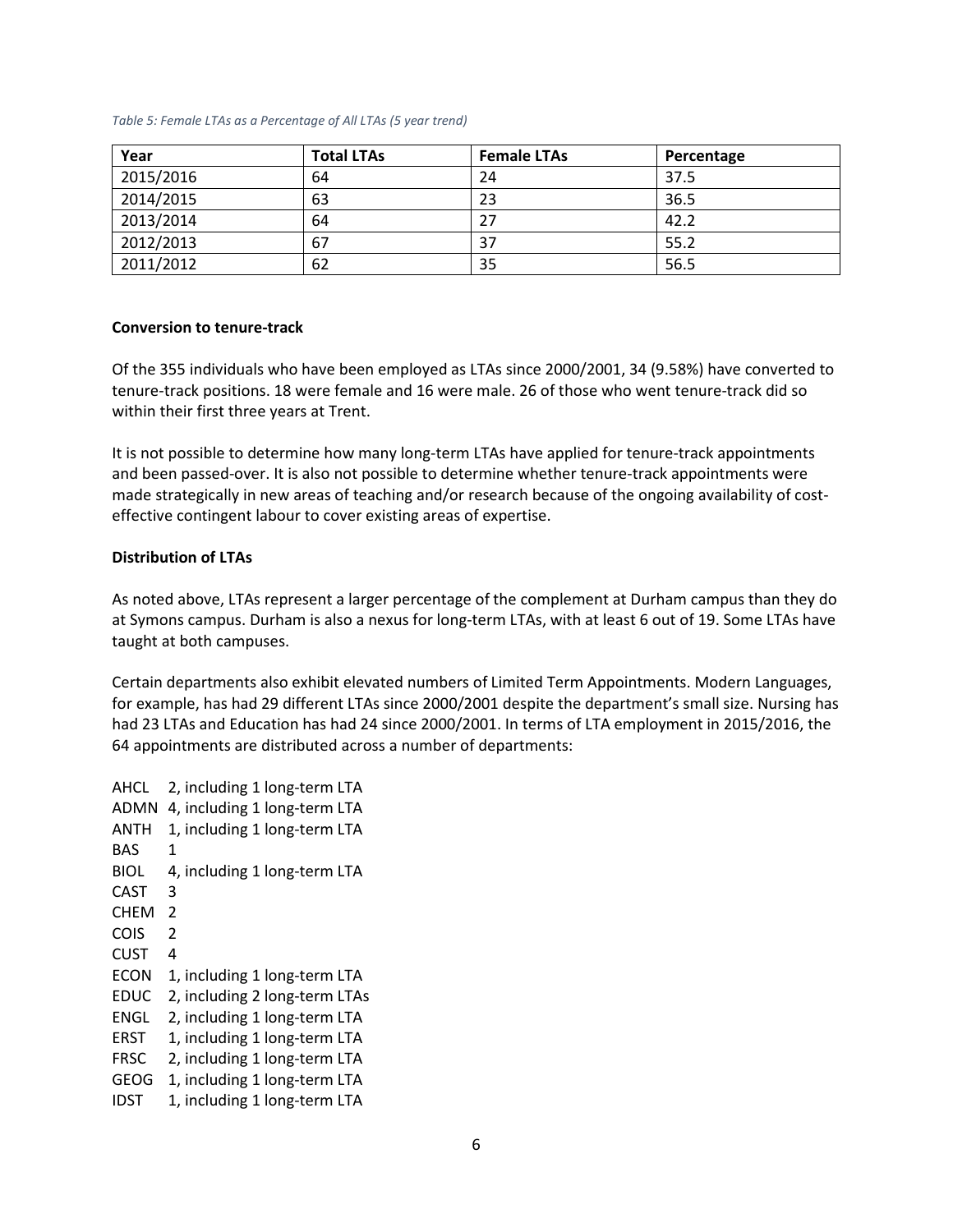#### *Table 5: Female LTAs as a Percentage of All LTAs (5 year trend)*

| Year      | <b>Total LTAs</b> | <b>Female LTAs</b> | Percentage |
|-----------|-------------------|--------------------|------------|
| 2015/2016 | 64                | 24                 | 37.5       |
| 2014/2015 | 63                | 23                 | 36.5       |
| 2013/2014 | 64                | 27                 | 42.2       |
| 2012/2013 | 67                | 37                 | 55.2       |
| 2011/2012 | 62                | 35                 | 56.5       |

#### **Conversion to tenure-track**

Of the 355 individuals who have been employed as LTAs since 2000/2001, 34 (9.58%) have converted to tenure-track positions. 18 were female and 16 were male. 26 of those who went tenure-track did so within their first three years at Trent.

It is not possible to determine how many long-term LTAs have applied for tenure-track appointments and been passed-over. It is also not possible to determine whether tenure-track appointments were made strategically in new areas of teaching and/or research because of the ongoing availability of costeffective contingent labour to cover existing areas of expertise.

### **Distribution of LTAs**

As noted above, LTAs represent a larger percentage of the complement at Durham campus than they do at Symons campus. Durham is also a nexus for long-term LTAs, with at least 6 out of 19. Some LTAs have taught at both campuses.

Certain departments also exhibit elevated numbers of Limited Term Appointments. Modern Languages, for example, has had 29 different LTAs since 2000/2001 despite the department's small size. Nursing has had 23 LTAs and Education has had 24 since 2000/2001. In terms of LTA employment in 2015/2016, the 64 appointments are distributed across a number of departments:

AHCL 2, including 1 long-term LTA ADMN 4, including 1 long-term LTA ANTH 1, including 1 long-term LTA BAS 1 BIOL 4, including 1 long-term LTA CAST 3 CHEM 2 COIS 2 CUST 4 ECON 1, including 1 long-term LTA EDUC 2, including 2 long-term LTAs ENGL 2, including 1 long-term LTA ERST 1, including 1 long-term LTA FRSC 2, including 1 long-term LTA GEOG 1, including 1 long-term LTA IDST 1, including 1 long-term LTA